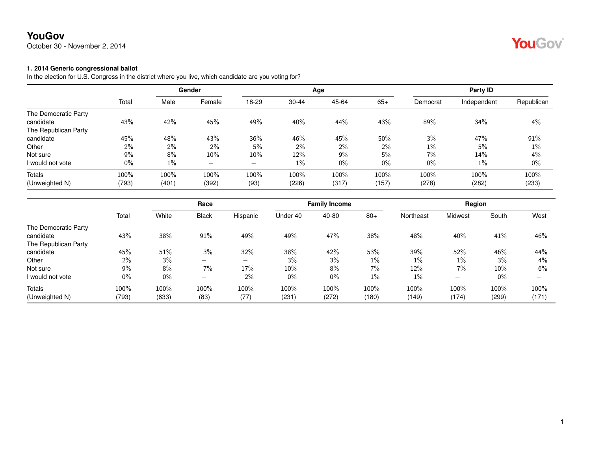October 30 - November 2, 2014

# YouGov®

#### **1. 2014 Generic congressional ballot**

In the election for U.S. Congress in the district where you live, which candidate are you voting for?

|                      |       |       | Gender                          |        |       | Age   |       |          | Party ID    |            |
|----------------------|-------|-------|---------------------------------|--------|-------|-------|-------|----------|-------------|------------|
|                      | Total | Male  | Female                          | 18-29  | 30-44 | 45-64 | $65+$ | Democrat | Independent | Republican |
| The Democratic Party |       |       |                                 |        |       |       |       |          |             |            |
| candidate            | 43%   | 42%   | 45%                             | 49%    | 40%   | 44%   | 43%   | 89%      | 34%         | 4%         |
| The Republican Party |       |       |                                 |        |       |       |       |          |             |            |
| candidate            | 45%   | 48%   | 43%                             | 36%    | 46%   | 45%   | 50%   | 3%       | 47%         | 91%        |
| Other                | 2%    | 2%    | $2\%$                           | 5%     | $2\%$ | $2\%$ | $2\%$ | $1\%$    | 5%          | $1\%$      |
| Not sure             | 9%    | 8%    | 10%                             | $10\%$ | 12%   | $9\%$ | 5%    | 7%       | 14%         | 4%         |
| I would not vote     | 0%    | $1\%$ | $\hspace{0.1mm}-\hspace{0.1mm}$ | —      | $1\%$ | 0%    | $0\%$ | $0\%$    | 1%          | 0%         |
| Totals               | 100%  | 100%  | 100%                            | 100%   | 100%  | 100%  | 100%  | 100%     | 100%        | 100%       |
| (Unweighted N)       | (793) | (401) | (392)                           | (93)   | (226) | (317) | (157) | (278)    | (282)       | (233)      |

|                      |       |       | Race                     |                          |          | <b>Family Income</b> |       |           | Region                   |        |       |
|----------------------|-------|-------|--------------------------|--------------------------|----------|----------------------|-------|-----------|--------------------------|--------|-------|
|                      | Total | White | <b>Black</b>             | Hispanic                 | Under 40 | 40-80                | $80+$ | Northeast | Midwest                  | South  | West  |
| The Democratic Party |       |       |                          |                          |          |                      |       |           |                          |        |       |
| candidate            | 43%   | 38%   | 91%                      | 49%                      | 49%      | 47%                  | 38%   | 48%       | 40%                      | 41%    | 46%   |
| The Republican Party |       |       |                          |                          |          |                      |       |           |                          |        |       |
| candidate            | 45%   | 51%   | 3%                       | 32%                      | 38%      | 42%                  | 53%   | 39%       | 52%                      | 46%    | 44%   |
| Other                | 2%    | 3%    | $\overline{\phantom{0}}$ | $\overline{\phantom{0}}$ | 3%       | 3%                   | $1\%$ | $1\%$     | $1\%$                    | 3%     | $4\%$ |
| Not sure             | 9%    | 8%    | 7%                       | 17%                      | 10%      | 8%                   | 7%    | 12%       | 7%                       | $10\%$ | 6%    |
| I would not vote     | 0%    | $0\%$ | $\overline{\phantom{0}}$ | 2%                       | $0\%$    | 0%                   | 1%    | $1\%$     | $\overline{\phantom{0}}$ | $0\%$  |       |
| <b>Totals</b>        | 100%  | 100%  | 100%                     | 100%                     | 100%     | 100%                 | 100%  | 100%      | 100%                     | 100%   | 100%  |
| (Unweighted N)       | (793) | (633) | (83)                     | (77)                     | (231)    | (272)                | (180) | (149)     | (174)                    | (299)  | (171) |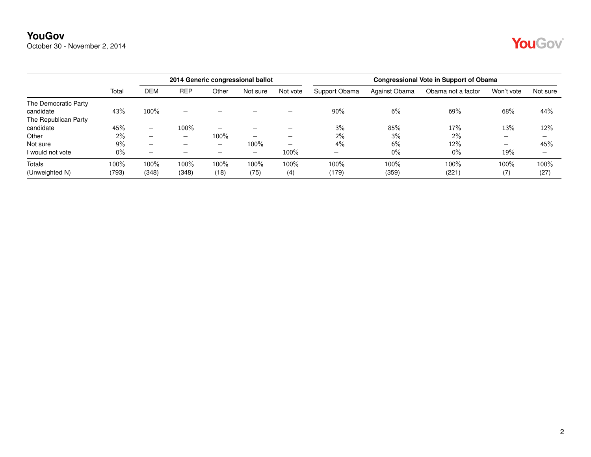October 30 - November 2, 2014

# YouGov®

|                      |       |                          | 2014 Generic congressional ballot |                          |                          |                          | <b>Congressional Vote in Support of Obama</b> |               |                    |                          |                          |  |
|----------------------|-------|--------------------------|-----------------------------------|--------------------------|--------------------------|--------------------------|-----------------------------------------------|---------------|--------------------|--------------------------|--------------------------|--|
|                      | Total | DEM                      | <b>REP</b>                        | Other                    | Not sure                 | Not vote                 | Support Obama                                 | Against Obama | Obama not a factor | Won't vote               | Not sure                 |  |
| The Democratic Party |       |                          |                                   |                          |                          |                          |                                               |               |                    |                          |                          |  |
| candidate            | 43%   | $100\%$                  | -                                 |                          |                          |                          | $90\%$                                        | 6%            | 69%                | 68%                      | 44%                      |  |
| The Republican Party |       |                          |                                   |                          |                          |                          |                                               |               |                    |                          |                          |  |
| candidate            | 45%   | $\overline{\phantom{0}}$ | 100%                              | $\overline{\phantom{a}}$ |                          | -                        | 3%                                            | 85%           | 17%                | 13%                      | 12%                      |  |
| Other                | $2\%$ | -                        | $\overline{\phantom{0}}$          | 100%                     | -                        | -                        | 2%                                            | 3%            | $2\%$              | $\overline{\phantom{a}}$ | $\overline{\phantom{a}}$ |  |
| Not sure             | $9\%$ | $\overline{\phantom{0}}$ | $\overline{\phantom{0}}$          |                          | 100%                     | $\overline{\phantom{0}}$ | 4%                                            | 6%            | 12%                |                          | 45%                      |  |
| I would not vote     | $0\%$ | $\overline{\phantom{0}}$ | -                                 | $\overline{\phantom{a}}$ | $\overline{\phantom{0}}$ | $100\%$                  | $\overline{\phantom{0}}$                      | $0\%$         | $0\%$              | 19%                      | $\overline{\phantom{0}}$ |  |
| <b>Totals</b>        | 100%  | 100%                     | 100%                              | 100%                     | 100%                     | 100%                     | 100%                                          | 100%          | 100%               | 100%                     | 100%                     |  |
| (Unweighted N)       | (793) | (348)                    | (348)                             | (18)                     | (75)                     | (4)                      | (179)                                         | (359)         | (221)              | (7)                      | (27)                     |  |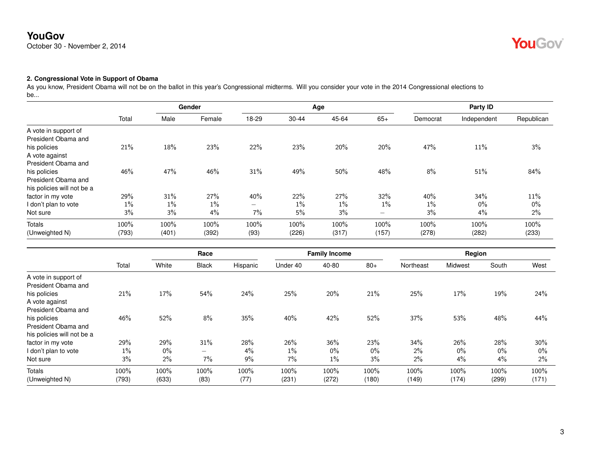October 30 - November 2, 2014

# YouGov®

### **2. Congressional Vote in Support of Obama**

As you know, President Obama will not be on the ballot in this year's Congressional midterms. Will you consider your vote in the 2014 Congressional elections to be...

|                                                                   |         |       | Gender |                          |           | Age   |                                 |          | Party ID    |            |
|-------------------------------------------------------------------|---------|-------|--------|--------------------------|-----------|-------|---------------------------------|----------|-------------|------------|
|                                                                   | Total   | Male  | Female | 18-29                    | $30 - 44$ | 45-64 | $65+$                           | Democrat | Independent | Republican |
| A vote in support of<br>President Obama and                       |         |       |        |                          |           |       |                                 |          |             |            |
| his policies<br>A vote against                                    | 21%     | 18%   | 23%    | 22%                      | 23%       | 20%   | 20%                             | 47%      | 11%         | 3%         |
| President Obama and                                               |         |       |        |                          |           |       |                                 |          |             |            |
| his policies<br>President Obama and<br>his policies will not be a | 46%     | 47%   | 46%    | 31%                      | 49%       | 50%   | 48%                             | 8%       | 51%         | 84%        |
| factor in my vote                                                 | 29%     | 31%   | 27%    | 40%                      | 22%       | 27%   | 32%                             | 40%      | 34%         | 11%        |
| I don't plan to vote                                              | $1\%$   | $1\%$ | 1%     | $\overline{\phantom{0}}$ | $1\%$     | $1\%$ | $1\%$                           | $1\%$    | $0\%$       | $0\%$      |
| Not sure                                                          | 3%      | 3%    | 4%     | 7%                       | 5%        | 3%    | $\hspace{0.1mm}-\hspace{0.1mm}$ | 3%       | 4%          | 2%         |
| Totals                                                            | $100\%$ | 100%  | 100%   | 100%                     | 100%      | 100%  | 100%                            | 100%     | 100%        | 100%       |
| (Unweighted N)                                                    | (793)   | (401) | (392)  | (93)                     | (226)     | (317) | (157)                           | (278)    | (282)       | (233)      |

|                            |       |       | Race  |          |          | <b>Family Income</b> |       |           | Region  |       |       |
|----------------------------|-------|-------|-------|----------|----------|----------------------|-------|-----------|---------|-------|-------|
|                            | Total | White | Black | Hispanic | Under 40 | 40-80                | $80+$ | Northeast | Midwest | South | West  |
| A vote in support of       |       |       |       |          |          |                      |       |           |         |       |       |
| President Obama and        |       |       |       |          |          |                      |       |           |         |       |       |
| his policies               | 21%   | 17%   | 54%   | 24%      | 25%      | 20%                  | 21%   | 25%       | 17%     | 19%   | 24%   |
| A vote against             |       |       |       |          |          |                      |       |           |         |       |       |
| President Obama and        |       |       |       |          |          |                      |       |           |         |       |       |
| his policies               | 46%   | 52%   | 8%    | 35%      | 40%      | 42%                  | 52%   | 37%       | 53%     | 48%   | 44%   |
| President Obama and        |       |       |       |          |          |                      |       |           |         |       |       |
| his policies will not be a |       |       |       |          |          |                      |       |           |         |       |       |
| factor in my vote          | 29%   | 29%   | 31%   | 28%      | 26%      | 36%                  | 23%   | $34\%$    | 26%     | 28%   | 30%   |
| I don't plan to vote       | $1\%$ | $0\%$ |       | 4%       | $1\%$    | $0\%$                | 0%    | 2%        | $0\%$   | $0\%$ | $0\%$ |
| Not sure                   | 3%    | 2%    | 7%    | 9%       | 7%       | $1\%$                | 3%    | $2\%$     | 4%      | 4%    | 2%    |
| Totals                     | 100%  | 100%  | 100%  | 100%     | 100%     | 100%                 | 100%  | 100%      | 100%    | 100%  | 100%  |
| (Unweighted N)             | (793) | (633) | (83)  | (77)     | (231)    | (272)                | (180) | (149)     | (174)   | (299) | (171) |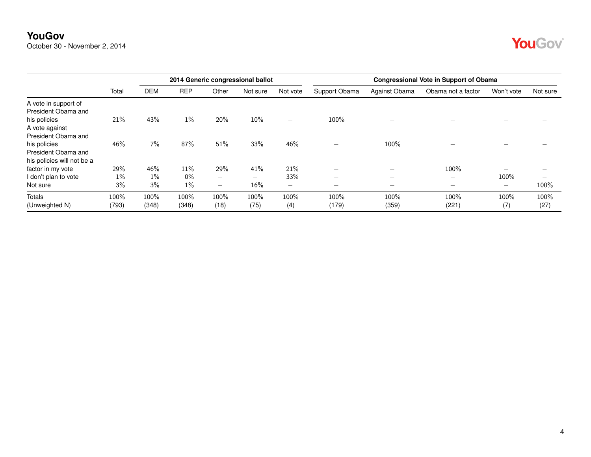October 30 - November 2, 2014

|--|--|

|                                                                   |               |               |               |                          | 2014 Generic congressional ballot |                          | <b>Congressional Vote in Support of Obama</b> |                          |                          |                          |              |
|-------------------------------------------------------------------|---------------|---------------|---------------|--------------------------|-----------------------------------|--------------------------|-----------------------------------------------|--------------------------|--------------------------|--------------------------|--------------|
|                                                                   | Total         | <b>DEM</b>    | <b>REP</b>    | Other                    | Not sure                          | Not vote                 | Support Obama                                 | Against Obama            | Obama not a factor       | Won't vote               | Not sure     |
| A vote in support of<br>President Obama and                       |               |               |               |                          |                                   |                          |                                               |                          |                          |                          |              |
| his policies<br>A vote against<br>President Obama and             | 21%           | 43%           | 1%            | 20%                      | $10\%$                            | $\overline{\phantom{0}}$ | 100%                                          |                          |                          |                          |              |
| his policies<br>President Obama and<br>his policies will not be a | 46%           | $7\%$         | 87%           | 51%                      | 33%                               | 46%                      | $\overline{\phantom{0}}$                      | 100%                     |                          |                          |              |
| factor in my vote                                                 | 29%           | 46%           | 11%           | 29%                      | 41%                               | 21%                      | $\overline{\phantom{0}}$                      | $\overline{\phantom{a}}$ | 100%                     |                          |              |
| I don't plan to vote                                              | $1\%$         | $1\%$         | $0\%$         | $\overline{\phantom{0}}$ | $\overline{\phantom{0}}$          | 33%                      |                                               | $\overline{\phantom{0}}$ | $\overline{\phantom{0}}$ | 100%                     |              |
| Not sure                                                          | 3%            | 3%            | $1\%$         | $\overline{\phantom{0}}$ | $16\%$                            | $\overline{\phantom{0}}$ | $\overline{\phantom{0}}$                      | $\overline{\phantom{0}}$ | $\overline{\phantom{0}}$ | $\overline{\phantom{0}}$ | 100%         |
| <b>Totals</b><br>(Unweighted N)                                   | 100%<br>(793) | 100%<br>(348) | 100%<br>(348) | 100%<br>(18)             | 100%<br>(75)                      | 100%<br>(4)              | 100%<br>(179)                                 | 100%<br>(359)            | 100%<br>(221)            | 100%<br>(7)              | 100%<br>(27) |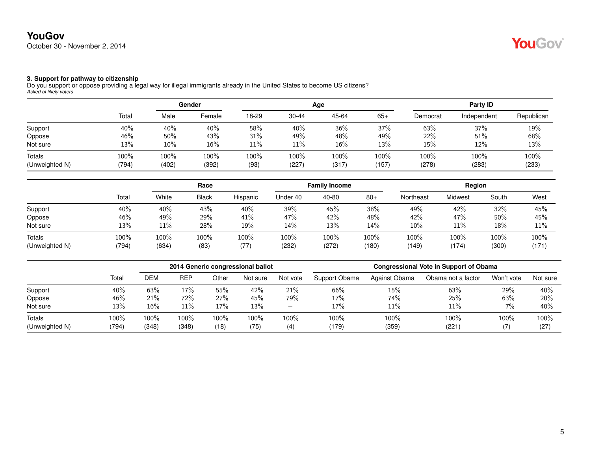#### **3. Support for pathway to citizenship**

Do you support or oppose providing a legal way for illegal immigrants already in the United States to become US citizens? *Asked of likely voters*

|                                 |               | Gender        |               |              |               | Age           | Party ID      |               |               |               |
|---------------------------------|---------------|---------------|---------------|--------------|---------------|---------------|---------------|---------------|---------------|---------------|
|                                 | Total         | Male          | Female        | 18-29        | $30 - 44$     | 45-64         | $65+$         | Democrat      | Independent   | Republican    |
| Support                         | 40%           | 40%           | 40%           | 58%          | 40%           | 36%           | 37%           | 63%           | 37%           | 19%           |
| Oppose                          | 46%           | 50%           | 43%           | 31%          | 49%           | 48%           | 49%           | 22%           | 51%           | 68%           |
| Not sure                        | 13%           | 10%           | 16%           | 11%          | 11%           | 16%           | 13%           | 15%           | 12%           | 13%           |
| <b>Totals</b><br>(Unweighted N) | 100%<br>(794) | 100%<br>(402) | 100%<br>(392) | 100%<br>(93) | 100%<br>(227) | 100%<br>(317) | 100%<br>(157) | 100%<br>(278) | 100%<br>(283) | 100%<br>(233) |

|                          |               | Race          |              |             |               | <b>Family Income</b> |               | Region        |               |               |               |
|--------------------------|---------------|---------------|--------------|-------------|---------------|----------------------|---------------|---------------|---------------|---------------|---------------|
|                          | Total         | White         | <b>Black</b> | Hispanic    | Under 40      | 40-80                | $80+$         | Northeast     | Midwest       | South         | West          |
| Support                  | 40%           | 40%           | 43%          | 40%         | 39%           | 45%                  | 38%           | 49%           | 42%           | 32%           | 45%           |
| Oppose                   | 46%           | 49%           | 29%          | 41%         | 47%           | 42%                  | 48%           | 42%           | 47%           | 50%           | 45%           |
| Not sure                 | 13%           | 11%           | 28%          | 19%         | 14%           | 13%                  | 14%           | 10%           | $11\%$        | 18%           | 11%           |
| Totals<br>(Unweighted N) | 100%<br>(794) | 100%<br>(634) | 100%<br>(83) | 100%<br>(77 | 100%<br>(232) | 100%<br>(272)        | 100%<br>(180) | 100%<br>(149) | 100%<br>(174) | 100%<br>(300) | 100%<br>(171) |

|                          |               | 2014 Generic congressional ballot |               |              |              |                          | <b>Congressional Vote in Support of Obama</b> |               |                    |            |              |  |
|--------------------------|---------------|-----------------------------------|---------------|--------------|--------------|--------------------------|-----------------------------------------------|---------------|--------------------|------------|--------------|--|
|                          | Total         | DEM                               | <b>REP</b>    | Other        | Not sure     | Not vote                 | Support Obama                                 | Against Obama | Obama not a factor | Won't vote | Not sure     |  |
| Support                  | 40%           | 63%                               | 17%           | 55%          | 42%          | 21%                      | 66%                                           | 15%           | 63%                | 29%        | 40%          |  |
| Oppose                   | 46%           | 21%                               | 72%           | 27%          | 45%          | 79%                      | 17%                                           | 74%           | 25%                | 63%        | 20%          |  |
| Not sure                 | 13%           | 16%                               | 11%           | 17%          | 13%          | $\overline{\phantom{0}}$ | 17%                                           | 11%           | 11%                | $7\%$      | 40%          |  |
| Totals<br>(Unweighted N) | 100%<br>(794) | 100%<br>(348)                     | 100%<br>(348) | 100%<br>(18) | 100%<br>(75) | 100%<br>(4)              | 100%<br>(179)                                 | 100%<br>(359) | 100%<br>(221)      | 100%<br>17 | 100%<br>(27) |  |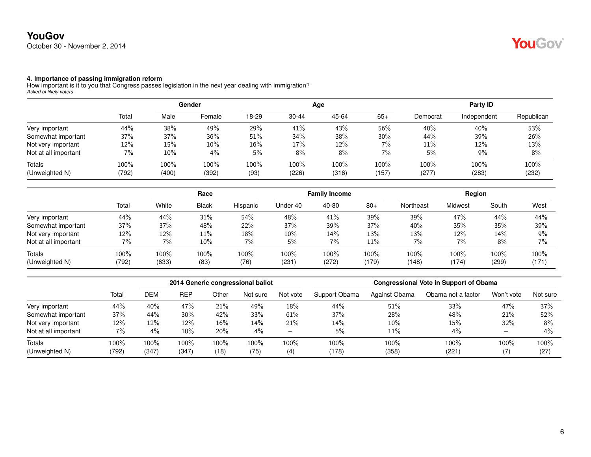## **YouGov** October 30 - November 2, 2014

## YouGov®

#### **4. Importance of passing immigration reform**

How important is it to you that Congress passes legislation in the next year dealing with immigration? *Asked of likely voters*

|                      |       | Gender |        |       |           | Age   | Party ID |          |             |            |
|----------------------|-------|--------|--------|-------|-----------|-------|----------|----------|-------------|------------|
|                      | Total | Male   | Female | 18-29 | $30 - 44$ | 45-64 | $65+$    | Democrat | Independent | Republican |
| Very important       | 44%   | 38%    | 49%    | 29%   | 41%       | 43%   | 56%      | 40%      | 40%         | 53%        |
| Somewhat important   | 37%   | 37%    | 36%    | 51%   | 34%       | 38%   | 30%      | 44%      | 39%         | 26%        |
| Not very important   | 12%   | 15%    | 10%    | 16%   | 17%       | 12%   | 7%       | 11%      | 12%         | 13%        |
| Not at all important | 7%    | 10%    | 4%     | 5%    | 8%        | 8%    | $7\%$    | 5%       | $9\%$       | 8%         |
| Totals               | 100%  | 100%   | 100%   | 100%  | 100%      | 100%  | 100%     | 100%     | 100%        | 100%       |
| (Unweighted N)       | (792) | (400)  | (392)  | (93)  | (226)     | (316) | (157)    | (277)    | (283)       | (232)      |

|                      |       |       |              | Race     |          | <b>Family Income</b> |       |           | Region  |       |       |
|----------------------|-------|-------|--------------|----------|----------|----------------------|-------|-----------|---------|-------|-------|
|                      | Total | White | <b>Black</b> | Hispanic | Under 40 | 40-80                | $80+$ | Northeast | Midwest | South | West  |
| Very important       | 44%   | 44%   | 31%          | 54%      | 48%      | 41%                  | 39%   | 39%       | 47%     | 44%   | 44%   |
| Somewhat important   | 37%   | 37%   | 48%          | 22%      | 37%      | 39%                  | 37%   | 40%       | 35%     | 35%   | 39%   |
| Not very important   | 12%   | 12%   | 11%          | 18%      | 10%      | 14%                  | 13%   | 13%       | 12%     | 14%   | 9%    |
| Not at all important | 7%    | 7%    | 10%          | 7%       | 5%       | 7%                   | 11%   | 7%        | 7%      | 8%    | 7%    |
| Totals               | 100%  | 100%  | 100%         | 100%     | 100%     | 100%                 | 100%  | 100%      | 100%    | 100%  | 100%  |
| (Unweighted N)       | (792) | (633) | (83)         | (76)     | (231     | (272)                | (179) | (148)     | (174)   | (299) | (171) |

|                      |       |         |            |       | 2014 Generic congressional ballot |                          | <b>Congressional Vote in Support of Obama</b> |               |                    |            |          |  |
|----------------------|-------|---------|------------|-------|-----------------------------------|--------------------------|-----------------------------------------------|---------------|--------------------|------------|----------|--|
|                      | Tota  | DEM     | <b>REP</b> | Other | Not sure                          | Not vote                 | Support Obama                                 | Against Obama | Obama not a factor | Won't vote | Not sure |  |
| Very important       | 44%   | 40%     | 47%        | 21%   | 49%                               | 18%                      | 44%                                           | 51%           | 33%                | 47%        | 37%      |  |
| Somewhat important   | 37%   | 44%     | $30\%$     | 42%   | 33%                               | 61%                      | 37%                                           | 28%           | 48%                | 21%        | 52%      |  |
| Not very important   | 12%   | 12%     | 12%        | 16%   | 14%                               | 21%                      | 14%                                           | $10\%$        | 15%                | 32%        | 8%       |  |
| Not at all important | $7\%$ | $4\%$   | 10%        | 20%   | $4\%$                             | $\overline{\phantom{0}}$ | 5%                                            | 11%           | 4%                 |            | 4%       |  |
| Totals               | 100%  | $100\%$ | 100%       | 100%  | 100%                              | 100%                     | $100\%$                                       | $100\%$       | 100%               | 100%       | 100%     |  |
| (Unweighted N)       | (792) | (347)   | (347)      | (18)  | (75)                              | (4)                      | (178)                                         | (358)         | (221)              |            | (27)     |  |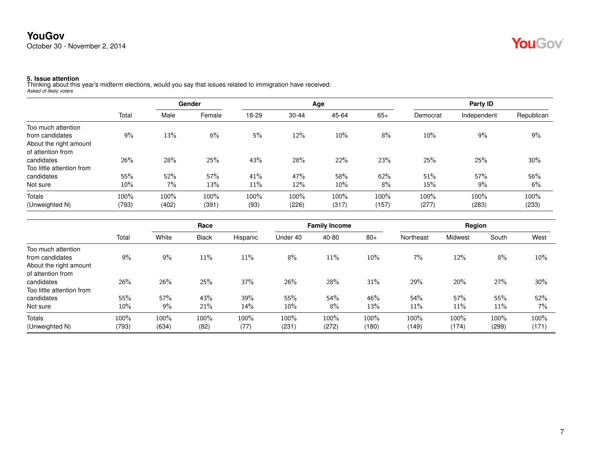

**5. Issue attention** Thinking about this year's midterm elections, would you say that issues related to immigration have received: *Asked of likely voters*

|                           | Total  |       | Gender |       |           | Age    | Party ID |          |             |            |
|---------------------------|--------|-------|--------|-------|-----------|--------|----------|----------|-------------|------------|
|                           |        | Male  | Female | 18-29 | $30 - 44$ | 45-64  | $65+$    | Democrat | Independent | Republican |
| Too much attention        |        |       |        |       |           |        |          |          |             |            |
| from candidates           | 9%     | 13%   | 6%     | 5%    | 12%       | 10%    | 8%       | $10\%$   | 9%          | 9%         |
| About the right amount    |        |       |        |       |           |        |          |          |             |            |
| of attention from         |        |       |        |       |           |        |          |          |             |            |
| candidates                | 26%    | 28%   | 25%    | 43%   | 28%       | 22%    | 23%      | 25%      | 25%         | 30%        |
| Too little attention from |        |       |        |       |           |        |          |          |             |            |
| candidates                | 55%    | 52%   | 57%    | 41%   | 47%       | 58%    | 62%      | 51%      | 57%         | 56%        |
| Not sure                  | $10\%$ | 7%    | 13%    | 11%   | 12%       | $10\%$ | 8%       | 15%      | $9\%$       | 6%         |
| <b>Totals</b>             | 100%   | 100%  | 100%   | 100%  | 100%      | 100%   | 100%     | 100%     | 100%        | 100%       |
| (Unweighted N)            | (793)  | (402) | (391)  | (93)  | (226)     | (317)  | (157)    | (277)    | (283)       | (233)      |

|                           |       | Race  |              |          |          | <b>Family Income</b> |       | Region    |         |       |       |
|---------------------------|-------|-------|--------------|----------|----------|----------------------|-------|-----------|---------|-------|-------|
|                           | Total | White | <b>Black</b> | Hispanic | Under 40 | 40-80                | $80+$ | Northeast | Midwest | South | West  |
| Too much attention        |       |       |              |          |          |                      |       |           |         |       |       |
| from candidates           | 9%    | 9%    | 11%          | 11%      | 8%       | 11%                  | 10%   | 7%        | 12%     | 8%    | 10%   |
| About the right amount    |       |       |              |          |          |                      |       |           |         |       |       |
| of attention from         |       |       |              |          |          |                      |       |           |         |       |       |
| candidates                | 26%   | 26%   | 25%          | 37%      | 26%      | 28%                  | 31%   | 29%       | 20%     | 27%   | 30%   |
| Too little attention from |       |       |              |          |          |                      |       |           |         |       |       |
| candidates                | 55%   | 57%   | 43%          | 39%      | 55%      | 54%                  | 46%   | 54%       | 57%     | 55%   | 52%   |
| Not sure                  | 10%   | $9\%$ | 21%          | 14%      | $10\%$   | 8%                   | 13%   | $11\%$    | 11%     | 11%   | $7\%$ |
| Totals                    | 100%  | 100%  | 100%         | 100%     | 100%     | 100%                 | 100%  | 100%      | 100%    | 100%  | 100%  |
| (Unweighted N)            | (793) | (634) | (82)         | (77)     | (231)    | (272)                | (180) | (149)     | (174)   | (299) | (171) |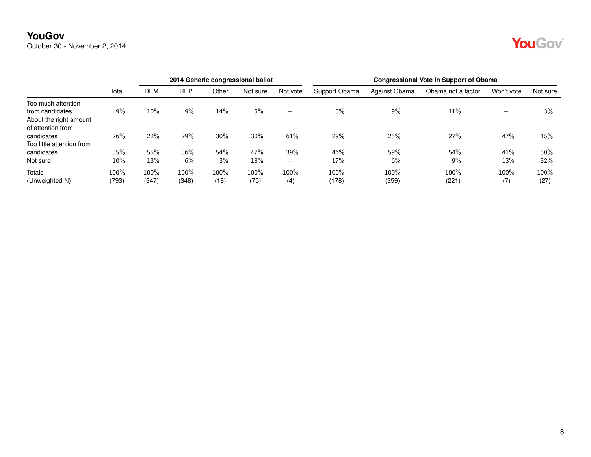October 30 - November 2, 2014

|                           |       |       |            |       | 2014 Generic congressional ballot |                          | <b>Congressional Vote in Support of Obama</b> |               |                    |            |          |  |
|---------------------------|-------|-------|------------|-------|-----------------------------------|--------------------------|-----------------------------------------------|---------------|--------------------|------------|----------|--|
|                           | Total | DEM   | <b>REP</b> | Other | Not sure                          | Not vote                 | Support Obama                                 | Against Obama | Obama not a factor | Won't vote | Not sure |  |
| Too much attention        |       |       |            |       |                                   |                          |                                               |               |                    |            |          |  |
| from candidates           | 9%    | 10%   | 9%         | 14%   | 5%                                | $\overline{\phantom{0}}$ | 8%                                            | 9%            | 11%                | -          | 3%       |  |
| About the right amount    |       |       |            |       |                                   |                          |                                               |               |                    |            |          |  |
| of attention from         |       |       |            |       |                                   |                          |                                               |               |                    |            |          |  |
| candidates                | 26%   | 22%   | 29%        | 30%   | 30%                               | 61%                      | 29%                                           | 25%           | 27%                | 47%        | 15%      |  |
| Too little attention from |       |       |            |       |                                   |                          |                                               |               |                    |            |          |  |
| candidates                | 55%   | 55%   | 56%        | 54%   | 47%                               | 39%                      | 46%                                           | 59%           | 54%                | 41%        | 50%      |  |
| Not sure                  | 10%   | 13%   | 6%         | 3%    | 18%                               | $\overline{\phantom{0}}$ | 17%                                           | 6%            | 9%                 | 13%        | 32%      |  |
| Totals                    | 100%  | 100%  | $100\%$    | 100%  | 100%                              | 100%                     | 100%                                          | 100%          | 100%               | 100%       | 100%     |  |
| (Unweighted N)            | (793) | (347) | (348)      | (18)  | (75)                              | (4)                      | (178)                                         | (359)         | (221)              | (7)        | (27)     |  |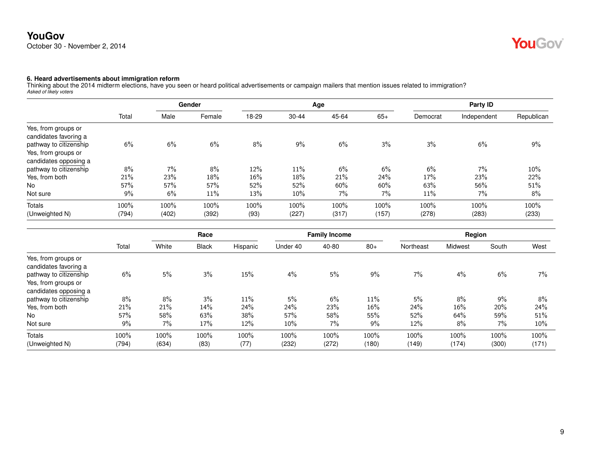## **YouGov** October 30 - November 2, 2014

# YouGov®

#### **6. Heard advertisements about immigration reform**

Thinking about the 2014 midterm elections, have you seen or heard political advertisements or campaign mailers that mention issues related to immigration? *Asked of likely voters*

|                                              | Total | Gender |        |       |           |        | Age   | Party ID |             |            |  |
|----------------------------------------------|-------|--------|--------|-------|-----------|--------|-------|----------|-------------|------------|--|
|                                              |       | Male   | Female | 18-29 | $30 - 44$ | 45-64  | $65+$ | Democrat | Independent | Republican |  |
| Yes, from groups or<br>candidates favoring a |       |        |        |       |           |        |       |          |             |            |  |
| pathway to citizenship                       | 6%    | 6%     | 6%     | 8%    | 9%        | 6%     | 3%    | 3%       | 6%          | 9%         |  |
| Yes, from groups or                          |       |        |        |       |           |        |       |          |             |            |  |
| candidates opposing a                        |       |        |        |       |           |        |       |          |             |            |  |
| pathway to citizenship                       | 8%    | 7%     | 8%     | 12%   | 11%       | 6%     | 6%    | 6%       | $7\%$       | 10%        |  |
| Yes, from both                               | 21%   | 23%    | 18%    | 16%   | 18%       | 21%    | 24%   | 17%      | 23%         | 22%        |  |
| <b>No</b>                                    | 57%   | 57%    | 57%    | 52%   | 52%       | $60\%$ | 60%   | 63%      | 56%         | 51%        |  |
| Not sure                                     | 9%    | 6%     | 11%    | 13%   | 10%       | 7%     | 7%    | 11%      | $7\%$       | 8%         |  |
| Totals                                       | 100%  | 100%   | 100%   | 100%  | 100%      | 100%   | 100%  | 100%     | 100%        | 100%       |  |
| (Unweighted N)                               | (794) | (402)  | (392)  | (93)  | (227)     | (317)  | (157) | (278)    | (283)       | (233)      |  |

|                                              |       |       | Race         |          |          | <b>Family Income</b> |       |           | Region  |       |        |  |
|----------------------------------------------|-------|-------|--------------|----------|----------|----------------------|-------|-----------|---------|-------|--------|--|
|                                              | Total | White | <b>Black</b> | Hispanic | Under 40 | 40-80                | $80+$ | Northeast | Midwest | South | West   |  |
| Yes, from groups or<br>candidates favoring a |       |       |              |          |          |                      |       |           |         |       |        |  |
| pathway to citizenship                       | 6%    | 5%    | 3%           | 15%      | 4%       | 5%                   | 9%    | 7%        | 4%      | 6%    | $7\%$  |  |
| Yes, from groups or                          |       |       |              |          |          |                      |       |           |         |       |        |  |
| candidates opposing a                        |       |       |              |          |          |                      |       |           |         |       |        |  |
| pathway to citizenship                       | 8%    | 8%    | 3%           | 11%      | 5%       | 6%                   | 11%   | 5%        | 8%      | 9%    | 8%     |  |
| Yes, from both                               | 21%   | 21%   | 14%          | 24%      | 24%      | 23%                  | 16%   | 24%       | $16\%$  | 20%   | 24%    |  |
| No                                           | 57%   | 58%   | 63%          | 38%      | 57%      | 58%                  | 55%   | 52%       | 64%     | 59%   | 51%    |  |
| Not sure                                     | 9%    | 7%    | 17%          | 12%      | 10%      | 7%                   | $9\%$ | 12%       | 8%      | 7%    | $10\%$ |  |
| Totals                                       | 100%  | 100%  | 100%         | 100%     | 100%     | 100%                 | 100%  | 100%      | 100%    | 100%  | 100%   |  |
| (Unweighted N)                               | (794) | (634) | (83)         | (77)     | (232)    | (272)                | (180) | (149)     | (174)   | (300) | (171)  |  |